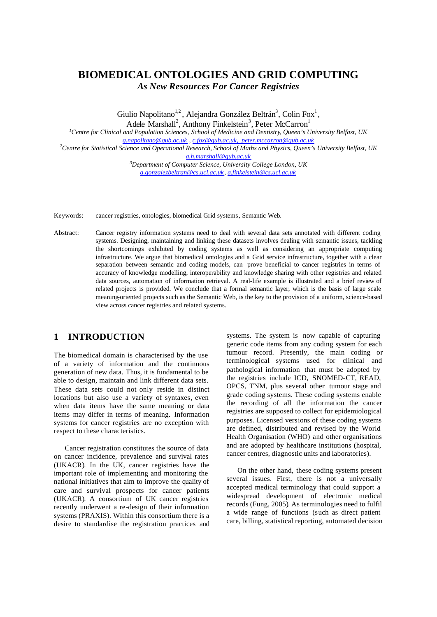# **BIOMEDICAL ONTOLOGIES AND GRID COMPUTING** *As New Resources For Cancer Registries*

Giulio Napolitano<sup>1,2</sup>, Alejandra González Beltrán<sup>3</sup>, Colin Fox<sup>1</sup>,

Adele Marshall<sup>2</sup>, Anthony Finkelstein<sup>3</sup>, Peter McCarron<sup>1</sup>

*<sup>1</sup>Centre for Clinical and Population Sciences, School of Medicine and Dentistry, Queen's University Belfast, UK g.napolitano@qub.ac.uk , c.fox@qub.ac.uk, peter.mccarron@qub.ac.uk*

*<sup>2</sup>Centre for Statistical Science and Operational Research, School of Maths and Physics, Queen's University Belfast, UK a.h.marshall@qub.ac.uk*

> *<sup>3</sup>Department of Computer Science, University College London, UK a.gonzalezbeltran@cs.ucl.ac.uk, a.finkelstein@cs.ucl.ac.uk*

Keywords: cancer registries, ontologies, biomedical Grid systems, Semantic Web.

Abstract: Cancer registry information systems need to deal with several data sets annotated with different coding systems. Designing, maintaining and linking these datasets involves dealing with semantic issues, tackling the shortcomings exhibited by coding systems as well as considering an appropriate computing infrastructure. We argue that biomedical ontologies and a Grid service infrastructure, together with a clear separation between semantic and coding models, can prove beneficial to cancer registries in terms of accuracy of knowledge modelling, interoperability and knowledge sharing with other registries and related data sources, automation of information retrieval. A real-life example is illustrated and a brief review of related projects is provided. We conclude that a formal semantic layer, which is the basis of large scale meaning-oriented projects such as the Semantic Web, is the key to the provision of a uniform, science-based view across cancer registries and related systems.

### **1 INTRODUCTION**

The biomedical domain is characterised by the use of a variety of information and the continuous generation of new data. Thus, it is fundamental to be able to design, maintain and link different data sets. These data sets could not only reside in distinct locations but also use a variety of syntaxes, even when data items have the same meaning or data items may differ in terms of meaning. Information systems for cancer registries are no exception with respect to these characteristics.

Cancer registration constitutes the source of data on cancer incidence, prevalence and survival rates (UKACR). In the UK, cancer registries have the important role of implementing and monitoring the national initiatives that aim to improve the quality of care and survival prospects for cancer patients (UKACR). A consortium of UK cancer registries recently underwent a re-design of their information systems (PRAXIS). Within this consortium there is a desire to standardise the registration practices and systems. The system is now capable of capturing generic code items from any coding system for each tumour record. Presently, the main coding or terminological systems used for clinical and pathological information that must be adopted by the registries include ICD, SNOMED-CT, READ, OPCS, TNM, plus several other tumour stage and grade coding systems. These coding systems enable the recording of all the information the cancer registries are supposed to collect for epidemiological purposes. Licensed versions of these coding systems are defined, distributed and revised by the World Health Organisation (WHO) and other organisations and are adopted by healthcare institutions (hospital, cancer centres, diagnostic units and laboratories).

On the other hand, these coding systems present several issues. First, there is not a universally accepted medical terminology that could support a widespread development of electronic medical records (Fung, 2005). As terminologies need to fulfil a wide range of functions (such as direct patient care, billing, statistical reporting, automated decision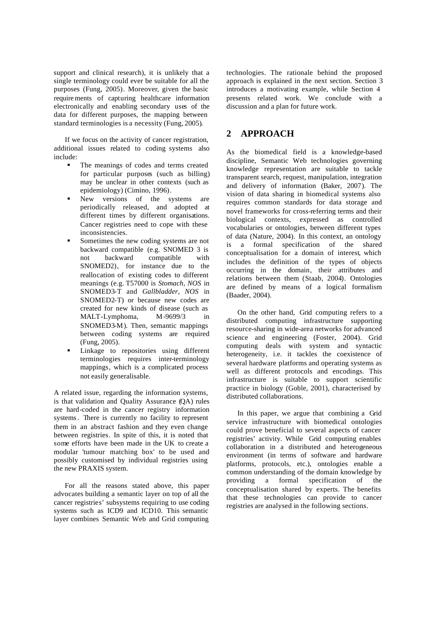support and clinical research), it is unlikely that a single terminology could ever be suitable for all the purposes (Fung, 2005). Moreover, given the basic requirements of capturing healthcare information electronically and enabling secondary uses of the data for different purposes, the mapping between standard terminologies is a necessity (Fung, 2005).

If we focus on the activity of cancer registration, additional issues related to coding systems also include:

- ß The meanings of codes and terms created for particular purposes (such as billing) may be unclear in other contexts (such as epidemiology) (Cimino, 1996).
- ß New versions of the systems are periodically released, and adopted at different times by different organisations. Cancer registries need to cope with these inconsistencies.
- ß Sometimes the new coding systems are not backward compatible (e.g. SNOMED 3 is not backward compatible with SNOMED2), for instance due to the reallocation of existing codes to different meanings (e.g. T57000 is *Stomach, NOS* in SNOMED3-T and *Gallbladder, NOS* in SNOMED2-T) or because new codes are created for new kinds of disease (such as MALT-Lymphoma, M-9699/3 in SNOMED3-M). Then, semantic mappings between coding systems are required (Fung, 2005).
- **Exercise** Linkage to repositories using different terminologies requires inter-terminology mappings, which is a complicated process not easily generalisable.

A related issue, regarding the information systems, is that validation and Quality Assurance (QA) rules are hard-coded in the cancer registry information systems. There is currently no facility to represent them in an abstract fashion and they even change between registries. In spite of this, it is noted that some efforts have been made in the UK to create a modular 'tumour matching box' to be used and possibly customised by individual registries using the new PRAXIS system.

For all the reasons stated above, this paper advocates building a semantic layer on top of all the cancer registries' subsystems requiring to use coding systems such as ICD9 and ICD10. This semantic layer combines Semantic Web and Grid computing

technologies. The rationale behind the proposed approach is explained in the next section. Section 3 introduces a motivating example, while Section 4 presents related work. We conclude with a discussion and a plan for future work.

## **2 APPROACH**

As the biomedical field is a knowledge-based discipline, Semantic Web technologies governing knowledge representation are suitable to tackle transparent search, request, manipulation, integration and delivery of information (Baker, 2007). The vision of data sharing in biomedical systems also requires common standards for data storage and novel frameworks for cross-referring terms and their biological contexts, expressed as controlled vocabularies or ontologies, between different types of data (Nature, 2004). In this context, an ontology is a formal specification of the shared conceptualisation for a domain of interest, which includes the definition of the types of objects occurring in the domain, their attributes and relations between them (Staab, 2004). Ontologies are defined by means of a logical formalism (Baader, 2004).

On the other hand, Grid computing refers to a distributed computing infrastructure supporting resource-sharing in wide-area networks for advanced science and engineering (Foster, 2004). Grid computing deals with system and syntactic heterogeneity, i.e. it tackles the coexistence of several hardware platforms and operating systems as well as different protocols and encodings. This infrastructure is suitable to support scientific practice in biology (Goble, 2001), characterised by distributed collaborations.

In this paper, we argue that combining a Grid service infrastructure with biomedical ontologies could prove beneficial to several aspects of cancer registries' activity. While Grid computing enables collaboration in a distributed and heterogeneous environment (in terms of software and hardware platforms, protocols, etc.), ontologies enable a common understanding of the domain knowledge by providing a formal specification of the conceptualisation shared by experts. The benefits that these technologies can provide to cancer registries are analysed in the following sections.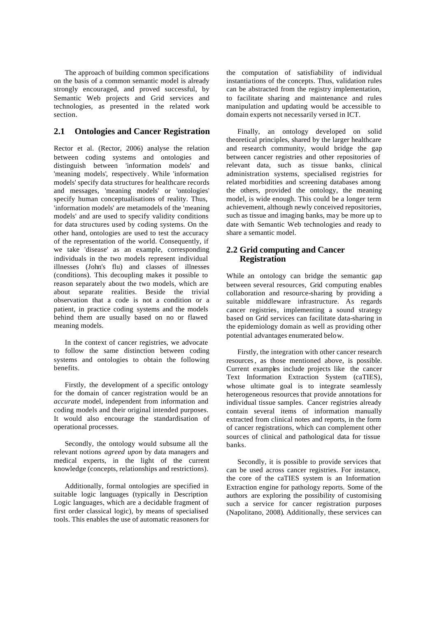The approach of building common specifications on the basis of a common semantic model is already strongly encouraged, and proved successful, by Semantic Web projects and Grid services and technologies, as presented in the related work section.

#### **2.1 Ontologies and Cancer Registration**

Rector et al. (Rector, 2006) analyse the relation between coding systems and ontologies and distinguish between 'information models' and 'meaning models', respectively. While 'information models' specify data structures for healthcare records and messages, 'meaning models' or 'ontologies' specify human conceptualisations of reality. Thus, 'information models' are metamodels of the 'meaning models' and are used to specify validity conditions for data structures used by coding systems. On the other hand, ontologies are used to test the accuracy of the representation of the world. Consequently, if we take 'disease' as an example, corresponding individuals in the two models represent individual illnesses (John's flu) and classes of illnesses (conditions). This decoupling makes it possible to reason separately about the two models, which are about separate realities. Beside the trivial observation that a code is not a condition or a patient, in practice coding systems and the models behind them are usually based on no or flawed meaning models.

In the context of cancer registries, we advocate to follow the same distinction between coding systems and ontologies to obtain the following benefits.

Firstly, the development of a specific ontology for the domain of cancer registration would be an *accurate* model, independent from information and coding models and their original intended purposes. It would also encourage the standardisation of operational processes.

Secondly, the ontology would subsume all the relevant notions *agreed upon* by data managers and medical experts, in the light of the current knowledge (concepts, relationships and restrictions).

Additionally, formal ontologies are specified in suitable logic languages (typically in Description Logic languages, which are a decidable fragment of first order classical logic), by means of specialised tools. This enables the use of automatic reasoners for

the computation of satisfiability of individual instantiations of the concepts. Thus, validation rules can be abstracted from the registry implementation, to facilitate sharing and maintenance and rules manipulation and updating would be accessible to domain experts not necessarily versed in ICT.

Finally, an ontology developed on solid theoretical principles, shared by the larger healthcare and research community, would bridge the gap between cancer registries and other repositories of relevant data, such as tissue banks, clinical administration systems, specialised registries for related morbidities and screening databases among the others, provided the ontology, the meaning model, is wide enough. This could be a longer term achievement, although newly conceived repositories, such as tissue and imaging banks, may be more up to date with Semantic Web technologies and ready to share a semantic model.

#### **2.2 Grid computing and Cancer Registration**

While an ontology can bridge the semantic gap between several resources, Grid computing enables collaboration and resource-sharing by providing a suitable middleware infrastructure. As regards cancer registries, implementing a sound strategy based on Grid services can facilitate data-sharing in the epidemiology domain as well as providing other potential advantages enumerated below.

Firstly, the integration with other cancer research resources, as those mentioned above, is possible. Current examples include projects like the cancer Text Information Extraction System (caTIES), whose ultimate goal is to integrate seamlessly heterogeneous resources that provide annotations for individual tissue samples. Cancer registries already contain several items of information manually extracted from clinical notes and reports, in the form of cancer registrations, which can complement other sources of clinical and pathological data for tissue banks.

Secondly, it is possible to provide services that can be used across cancer registries. For instance, the core of the caTIES system is an Information Extraction engine for pathology reports. Some of the authors are exploring the possibility of customising such a service for cancer registration purposes (Napolitano, 2008). Additionally, these services can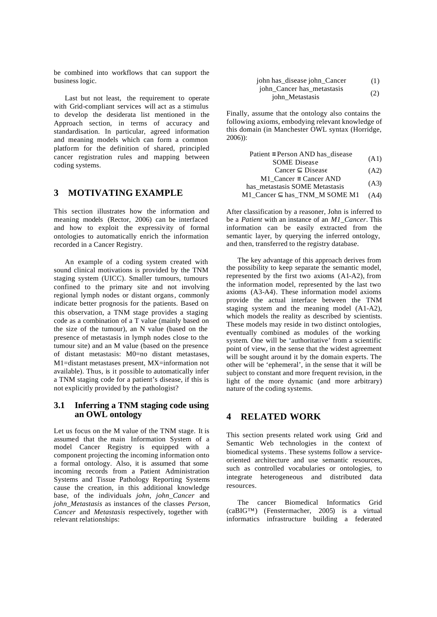be combined into workflows that can support the business logic.

Last but not least, the requirement to operate with Grid-compliant services will act as a stimulus to develop the desiderata list mentioned in the Approach section, in terms of accuracy and standardisation. In particular, agreed information and meaning models which can form a common platform for the definition of shared, principled cancer registration rules and mapping between coding systems.

### **3 MOTIVATING EXAMPLE**

This section illustrates how the information and meaning models (Rector, 2006) can be interfaced and how to exploit the expressivity of formal ontologies to automatically enrich the information recorded in a Cancer Registry.

An example of a coding system created with sound clinical motivations is provided by the TNM staging system (UICC). Smaller tumours, tumours confined to the primary site and not involving regional lymph nodes or distant organs, commonly indicate better prognosis for the patients. Based on this observation, a TNM stage provides a staging code as a combination of a T value (mainly based on the size of the tumour), an N value (based on the presence of metastasis in lymph nodes close to the tumour site) and an M value (based on the presence of distant metastasis: M0=no distant metastases, M1=distant metastases present, MX=information not available). Thus, is it possible to automatically infer a TNM staging code for a patient's disease, if this is not explicitly provided by the pathologist?

#### **3.1 Inferring a TNM staging code using an OWL ontology**

Let us focus on the M value of the TNM stage. It is assumed that the main Information System of a model Cancer Registry is equipped with a component projecting the incoming information onto a formal ontology. Also, it is assumed that some incoming records from a Patient Administration Systems and Tissue Pathology Reporting Systems cause the creation, in this additional knowledge base, of the individuals *john*, *john\_Cancer* and *john\_Metastasis* as instances of the classes *Person*, *Cancer* and *Metastasis* respectively, together with relevant relationships:

| john has_disease john_Cancer | (1) |
|------------------------------|-----|
| john Cancer has metastasis   |     |
| john Metastasis              | (2) |

Finally, assume that the ontology also contains the following axioms, embodying relevant knowledge of this domain (in Manchester OWL syntax (Horridge, 2006)):

| Patient $\equiv$ Person AND has disease                    |      |
|------------------------------------------------------------|------|
| <b>SOME</b> Disease                                        | (A1) |
| Cancer $\subseteq$ Disease                                 | (A2) |
| $M1$ Cancer = Cancer AND<br>has metastasis SOME Metastasis | (A3) |
| M1_Cancer $\subseteq$ has_TNM_M SOME M1                    | (A4) |

After classification by a reasoner, John is inferred to be a *Patient* with an instance of an *M1\_Cancer*. This information can be easily extracted from the semantic layer, by querying the inferred ontology, and then, transferred to the registry database.

The key advantage of this approach derives from the possibility to keep separate the semantic model, represented by the first two axioms (A1-A2), from the information model, represented by the last two axioms (A3-A4). These information model axioms provide the actual interface between the TNM staging system and the meaning model (A1-A2), which models the reality as described by scientists. These models may reside in two distinct ontologies, eventually combined as modules of the working system. One will be 'authoritative' from a scientific point of view, in the sense that the widest agreement will be sought around it by the domain experts. The other will be 'ephemeral', in the sense that it will be subject to constant and more frequent revision, in the light of the more dynamic (and more arbitrary) nature of the coding systems.

### **4 RELATED WORK**

This section presents related work using Grid and Semantic Web technologies in the context of biomedical systems. These systems follow a serviceoriented architecture and use semantic resources, such as controlled vocabularies or ontologies, to integrate heterogeneous and distributed data resources.

The cancer Biomedical Informatics Grid (caBIG™) (Fenstermacher, 2005) is a virtual informatics infrastructure building a federated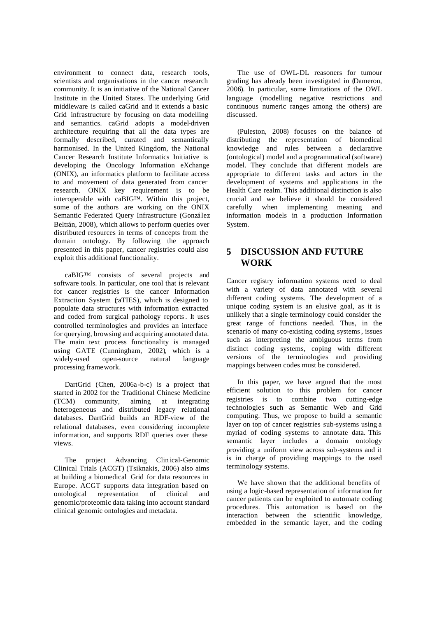environment to connect data, research tools, scientists and organisations in the cancer research community. It is an initiative of the National Cancer Institute in the United States. The underlying Grid middleware is called caGrid and it extends a basic Grid infrastructure by focusing on data modelling and semantics. caGrid adopts a model-driven architecture requiring that all the data types are formally described, curated and semantically harmonised. In the United Kingdom, the National Cancer Research Institute Informatics Initiative is developing the Oncology Information eXchange (ONIX), an informatics platform to facilitate access to and movement of data generated from cancer research. ONIX key requirement is to be interoperable with caBIG™. Within this project, some of the authors are working on the ONIX Semantic Federated Query Infrastructure (González Beltrán, 2008), which allows to perform queries over distributed resources in terms of concepts from the domain ontology. By following the approach presented in this paper, cancer registries could also exploit this additional functionality.

caBIG™ consists of several projects and software tools. In particular, one tool that is relevant for cancer registries is the cancer Information Extraction System (caTIES), which is designed to populate data structures with information extracted and coded from surgical pathology reports. It uses controlled terminologies and provides an interface for querying, browsing and acquiring annotated data. The main text process functionality is managed using GATE (Cunningham, 2002), which is a widely-used open-source natural language processing framework.

DartGrid (Chen, 2006a -b-c) is a project that started in 2002 for the Traditional Chinese Medicine (TCM) community, aiming at integrating heterogeneous and distributed legacy relational databases. DartGrid builds an RDF-view of the relational databases, even considering incomplete information, and supports RDF queries over these views.

The project Advancing Clin ical-Genomic Clinical Trials (ACGT) (Tsiknakis, 2006) also aims at building a biomedical Grid for data resources in Europe. ACGT supports data integration based on ontological representation of clinical and genomic/proteomic data taking into account standard clinical genomic ontologies and metadata.

The use of OWL-DL reasoners for tumour grading has already been investigated in (Dameron, 2006). In particular, some limitations of the OWL language (modelling negative restrictions and continuous numeric ranges among the others) are discussed.

(Puleston, 2008) focuses on the balance of distributing the representation of biomedical knowledge and rules between a declarative (ontological) model and a programmatical (software) model. They conclude that different models are appropriate to different tasks and actors in the development of systems and applications in the Health Care realm. This additional distinction is also crucial and we believe it should be considered carefully when implementing meaning and information models in a production Information System.

## **5 DISCUSSION AND FUTURE WORK**

Cancer registry information systems need to deal with a variety of data annotated with several different coding systems. The development of a unique coding system is an elusive goal, as it is unlikely that a single terminology could consider the great range of functions needed. Thus, in the scenario of many co-existing coding systems, issues such as interpreting the ambiguous terms from distinct coding systems, coping with different versions of the terminologies and providing mappings between codes must be considered.

In this paper, we have argued that the most efficient solution to this problem for cancer registries is to combine two cutting-edge technologies such as Semantic Web and Grid computing. Thus, we propose to build a semantic layer on top of cancer registries sub-systems using a myriad of coding systems to annotate data. This semantic layer includes a domain ontology providing a uniform view across sub-systems and it is in charge of providing mappings to the used terminology systems.

We have shown that the additional benefits of using a logic-based representation of information for cancer patients can be exploited to automate coding procedures. This automation is based on the interaction between the scientific knowledge, embedded in the semantic layer, and the coding